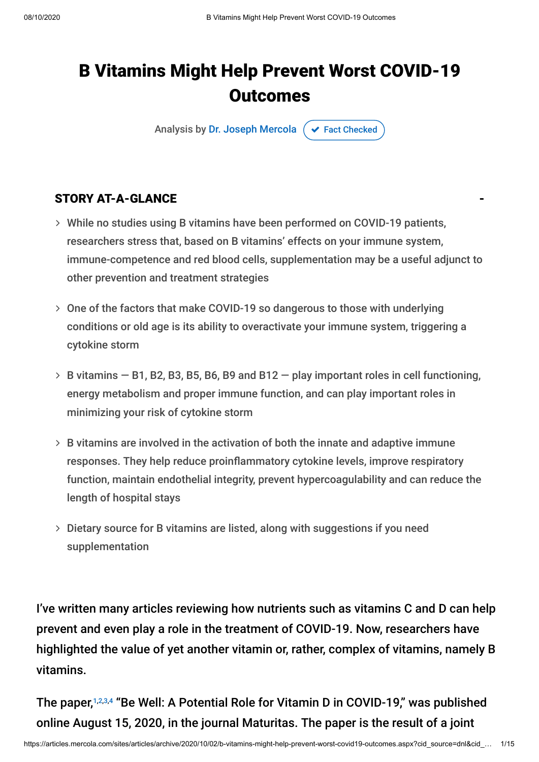## B Vitamins Might Help Prevent Worst COVID-19 **Outcomes**

Analysis by [Dr. Joseph Mercola](https://www.mercola.com/forms/background.htm)  $\sigma$  [Fact Checked](javascript:void(0))

## STORY AT-A-GLANCE

- While no studies using B vitamins have been performed on COVID-19 patients, researchers stress that, based on B vitamins' effects on your immune system, immune-competence and red blood cells, supplementation may be a useful adjunct to other prevention and treatment strategies
- One of the factors that make COVID-19 so dangerous to those with underlying conditions or old age is its ability to overactivate your immune system, triggering a cytokine storm
- $>$  B vitamins  $-$  B1, B2, B3, B5, B6, B9 and B12  $-$  play important roles in cell functioning, energy metabolism and proper immune function, and can play important roles in minimizing your risk of cytokine storm
- $>$  B vitamins are involved in the activation of both the innate and adaptive immune responses. They help reduce proinflammatory cytokine levels, improve respiratory function, maintain endothelial integrity, prevent hypercoagulability and can reduce the length of hospital stays
- Dietary source for B vitamins are listed, along with suggestions if you need supplementation

I've written many articles reviewing how nutrients such as vitamins C and D can help prevent and even play a role in the treatment of COVID-19. Now, researchers have highlighted the value of yet another vitamin or, rather, complex of vitamins, namely B vitamins.

The paper,<sup>1,2,3,4</sup> "Be Well: A Potential Role for Vitamin D in COVID-19," was published online August 15, 2020, in the journal Maturitas. The paper is the result of a joint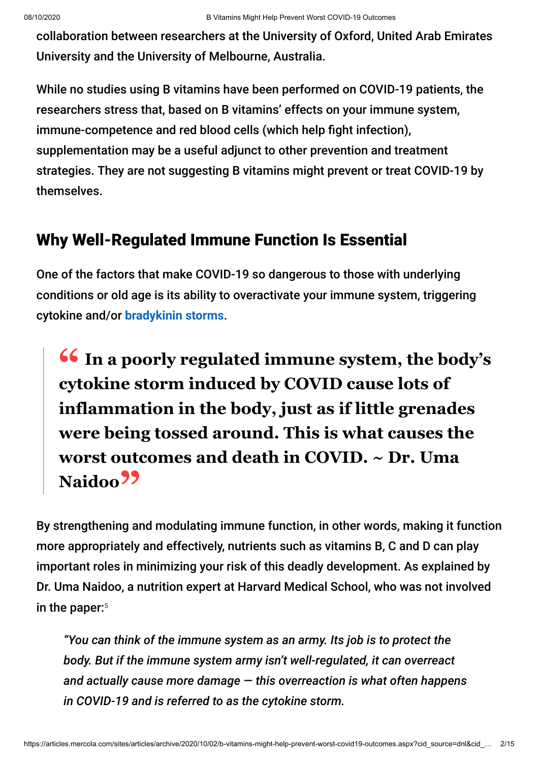collaboration between researchers at the University of Oxford, United Arab Emirates University and the University of Melbourne, Australia.

While no studies using B vitamins have been performed on COVID-19 patients, the researchers stress that, based on B vitamins' effects on your immune system, immune-competence and red blood cells (which help fight infection), supplementation may be a useful adjunct to other prevention and treatment strategies. They are not suggesting B vitamins might prevent or treat COVID-19 by themselves.

## Why Well-Regulated Immune Function Is Essential

One of the factors that make COVID-19 so dangerous to those with underlying conditions or old age is its ability to overactivate your immune system, triggering cytokine and/or **[bradykinin storms](https://articles.mercola.com/sites/articles/archive/2020/09/14/bradykinin-hypothesis.aspx)**.

**<sup>66</sup>** In a poorly regulated immune system, the body's extoking storm induced by COVID cause lots of **cytokine storm induced by COVID cause lots of inflammation in the body, just as if little grenades were being tossed around. This is what causes the worst outcomes and death in COVID. ~ Dr. Uma** Naidoo<sup>99</sup>

By strengthening and modulating immune function, in other words, making it function more appropriately and effectively, nutrients such as vitamins B, C and D can play important roles in minimizing your risk of this deadly development. As explained by Dr. Uma Naidoo, a nutrition expert at Harvard Medical School, who was not involved in the paper: 5

*"You can think of the immune system as an army. Its job is to protect the body. But if the immune system army isn't well-regulated, it can overreact and actually cause more damage — this overreaction is what often happens in COVID-19 and is referred to as the cytokine storm.*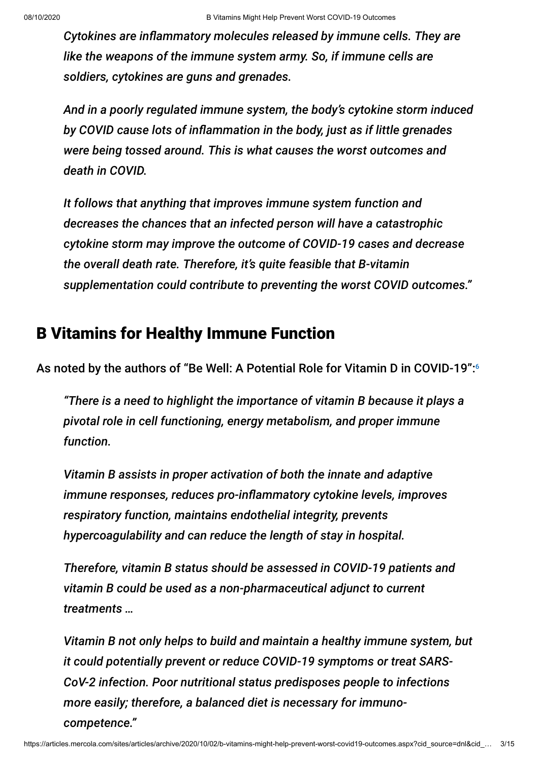*Cytokines are inflammatory molecules released by immune cells. They are like the weapons of the immune system army. So, if immune cells are soldiers, cytokines are guns and grenades.*

*And in a poorly regulated immune system, the body's cytokine storm induced* by COVID cause lots of inflammation in the body, just as if little grenades *were being tossed around. This is what causes the worst outcomes and death in COVID.*

*It follows that anything that improves immune system function and decreases the chances that an infected person will have a catastrophic cytokine storm may improve the outcome of COVID-19 cases and decrease the overall death rate. Therefore, it's quite feasible that B-vitamin supplementation could contribute to preventing the worst COVID outcomes."*

## B Vitamins for Healthy Immune Function

As noted by the authors of "Be Well: A Potential Role for Vitamin D in COVID-19": 6

*"There is a need to highlight the importance of vitamin B because it plays a pivotal role in cell functioning, energy metabolism, and proper immune function.*

*Vitamin B assists in proper activation of both the innate and adaptive immune responses, reduces pro-inflammatory cytokine levels, improves respiratory function, maintains endothelial integrity, prevents hypercoagulability and can reduce the length of stay in hospital.*

*Therefore, vitamin B status should be assessed in COVID-19 patients and vitamin B could be used as a non-pharmaceutical adjunct to current treatments …*

*Vitamin B not only helps to build and maintain a healthy immune system, but it could potentially prevent or reduce COVID-19 symptoms or treat SARS-CoV-2 infection. Poor nutritional status predisposes people to infections more easily; therefore, a balanced diet is necessary for immunocompetence."*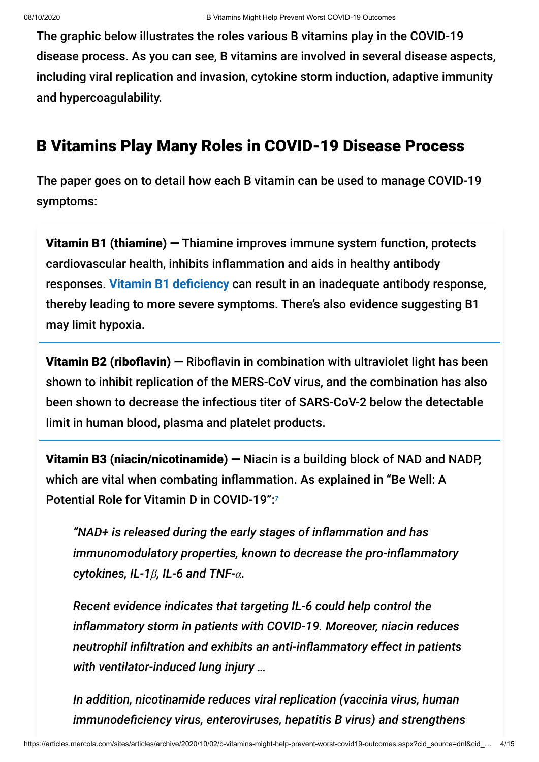The graphic below illustrates the roles various B vitamins play in the COVID-19 disease process. As you can see, B vitamins are involved in several disease aspects, including viral replication and invasion, cytokine storm induction, adaptive immunity and hypercoagulability.

## B Vitamins Play Many Roles in COVID-19 Disease Process

The paper goes on to detail how each B vitamin can be used to manage COVID-19 symptoms:

Vitamin B1 (thiamine) — Thiamine improves immune system function, protects cardiovascular health, inhibits inflammation and aids in healthy antibody responses. Vitamin B1 deficiency can result in an inadequate antibody response, thereby leading to more severe symptoms. There's also evidence suggesting B1 may limit hypoxia.

**Vitamin B2 (riboflavin)**  $-$  Riboflavin in combination with ultraviolet light has been shown to inhibit replication of the MERS-CoV virus, and the combination has also been shown to decrease the infectious titer of SARS-CoV-2 below the detectable limit in human blood, plasma and platelet products.

Vitamin B3 (niacin/nicotinamide) — Niacin is a building block of NAD and NADP, which are vital when combating inflammation. As explained in "Be Well: A Potential Role for Vitamin D in COVID-19":7

*"NAD+ is released during the early stages of inflammation and has immunomodulatory properties, known to decrease the pro-inflammatory cytokines, IL-1β, IL-6 and TNF-α.*

*Recent evidence indicates that targeting IL-6 could help control the inflammatory storm in patients with COVID-19. Moreover, niacin reduces neutrophil infiltration and exhibits an anti-inflammatory effect in patients with ventilator-induced lung injury …*

*In addition, nicotinamide reduces viral replication (vaccinia virus, human immunodeciency virus, enteroviruses, hepatitis B virus) and strengthens*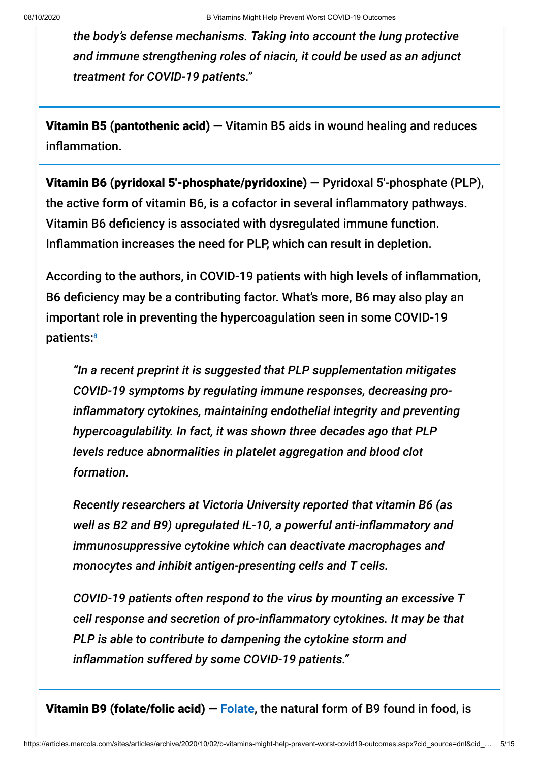*the body's defense mechanisms. Taking into account the lung protective and immune strengthening roles of niacin, it could be used as an adjunct treatment for COVID-19 patients."*

**Vitamin B5 (pantothenic acid)**  $-$  Vitamin B5 aids in wound healing and reduces inflammation.

Vitamin B6 (pyridoxal 5′-phosphate/pyridoxine) — Pyridoxal 5′-phosphate (PLP), the active form of vitamin B6, is a cofactor in several inflammatory pathways. Vitamin B6 deficiency is associated with dysregulated immune function. Inflammation increases the need for PLP, which can result in depletion.

According to the authors, in COVID-19 patients with high levels of inflammation, B6 deficiency may be a contributing factor. What's more, B6 may also play an important role in preventing the hypercoagulation seen in some COVID-19 patients: 8

*"In a recent preprint it is suggested that PLP supplementation mitigates COVID-19 symptoms by regulating immune responses, decreasing proinflammatory cytokines, maintaining endothelial integrity and preventing hypercoagulability. In fact, it was shown three decades ago that PLP levels reduce abnormalities in platelet aggregation and blood clot formation.*

*Recently researchers at Victoria University reported that vitamin B6 (as* well as B2 and B9) upregulated IL-10, a powerful anti-inflammatory and *immunosuppressive cytokine which can deactivate macrophages and monocytes and inhibit antigen-presenting cells and T cells.*

*COVID-19 patients often respond to the virus by mounting an excessive T cell response and secretion of pro-inflammatory cytokines. It may be that PLP is able to contribute to dampening the cytokine storm and* inflammation suffered by some COVID-19 patients."

Vitamin B9 (folate/folic acid) — **[Folate](https://fitness.mercola.com/sites/fitness/archive/2019/10/04/folate-health-benefits.aspx)**, the natural form of B9 found in food, is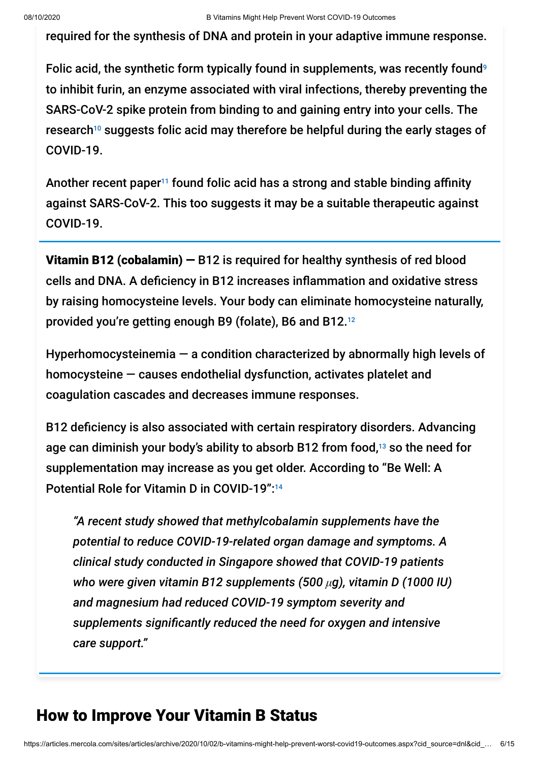required for the synthesis of DNA and protein in your adaptive immune response.

Folic acid, the synthetic form typically found in supplements, was recently found<sup>9</sup> to inhibit furin, an enzyme associated with viral infections, thereby preventing the SARS-CoV-2 spike protein from binding to and gaining entry into your cells. The research $^{10}$  suggests folic acid may therefore be helpful during the early stages of COVID-19.

Another recent paper<sup>11</sup> found folic acid has a strong and stable binding affinity against SARS-CoV-2. This too suggests it may be a suitable therapeutic against COVID-19.

**Vitamin B12 (cobalamin)**  $-$  B12 is required for healthy synthesis of red blood cells and DNA. A deficiency in B12 increases inflammation and oxidative stress by raising homocysteine levels. Your body can eliminate homocysteine naturally, provided you're getting enough B9 (folate), B6 and B12. 12

Hyperhomocysteinemia — a condition characterized by abnormally high levels of homocysteine — causes endothelial dysfunction, activates platelet and coagulation cascades and decreases immune responses.

B12 deficiency is also associated with certain respiratory disorders. Advancing age can diminish your body's ability to absorb B12 from food,<sup>13</sup> so the need for supplementation may increase as you get older. According to "Be Well: A Potential Role for Vitamin D in COVID-19":<sup>14</sup>

*"A recent study showed that methylcobalamin supplements have the potential to reduce COVID-19-related organ damage and symptoms. A clinical study conducted in Singapore showed that COVID-19 patients who were given vitamin B12 supplements (500 μg), vitamin D (1000 IU) and magnesium had reduced COVID-19 symptom severity and supplements signicantly reduced the need for oxygen and intensive care support."*

## How to Improve Your Vitamin B Status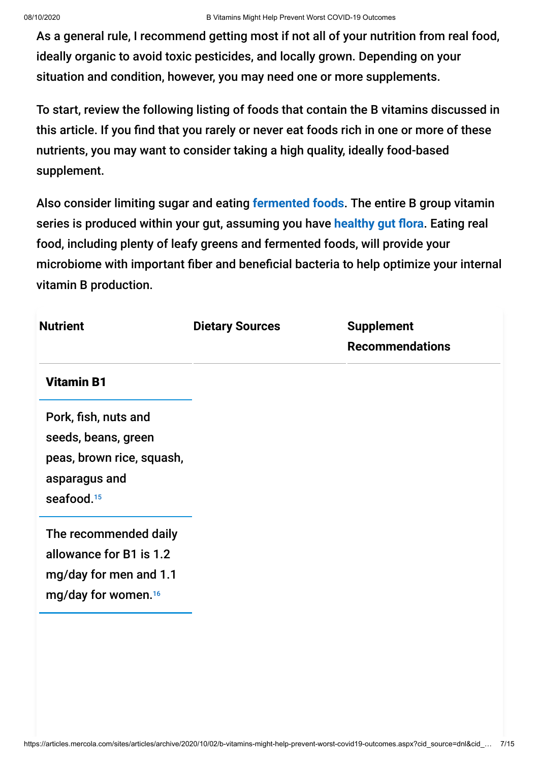As a general rule, I recommend getting most if not all of your nutrition from real food, ideally organic to avoid toxic pesticides, and locally grown. Depending on your situation and condition, however, you may need one or more supplements.

To start, review the following listing of foods that contain the B vitamins discussed in this article. If you find that you rarely or never eat foods rich in one or more of these nutrients, you may want to consider taking a high quality, ideally food-based supplement.

Also consider limiting sugar and eating **[fermented foods](https://articles.mercola.com/fermented-foods.aspx)**. The entire B group vitamin series is produced within your gut, assuming you have healthy gut flora. Eating real food, including plenty of leafy greens and fermented foods, will provide your microbiome with important fiber and beneficial bacteria to help optimize your internal vitamin B production.

| <b>Nutrient</b>                                                                                                     | <b>Dietary Sources</b> | <b>Supplement</b><br><b>Recommendations</b> |
|---------------------------------------------------------------------------------------------------------------------|------------------------|---------------------------------------------|
| <b>Vitamin B1</b>                                                                                                   |                        |                                             |
| Pork, fish, nuts and<br>seeds, beans, green<br>peas, brown rice, squash,<br>asparagus and<br>seafood. <sup>15</sup> |                        |                                             |
| The recommended daily<br>allowance for B1 is 1.2<br>mg/day for men and 1.1<br>mg/day for women. <sup>16</sup>       |                        |                                             |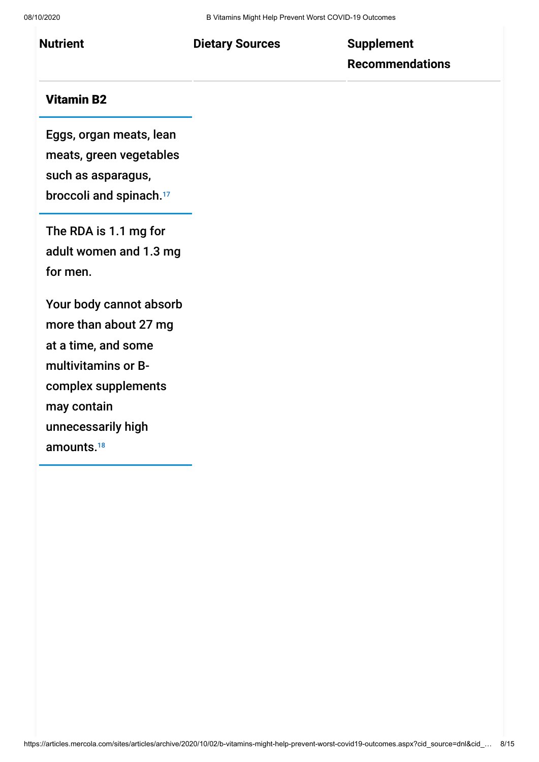# **Recommendations**

## Vitamin B2

Eggs, organ meats, lean meats, green vegetables such as asparagus, broccoli and spinach.<sup>17</sup>

The RDA is 1.1 mg for adult women and 1.3 mg for men.

Your body cannot absorb more than about 27 mg at a time, and some multivitamins or Bcomplex supplements may contain unnecessarily high amounts. 18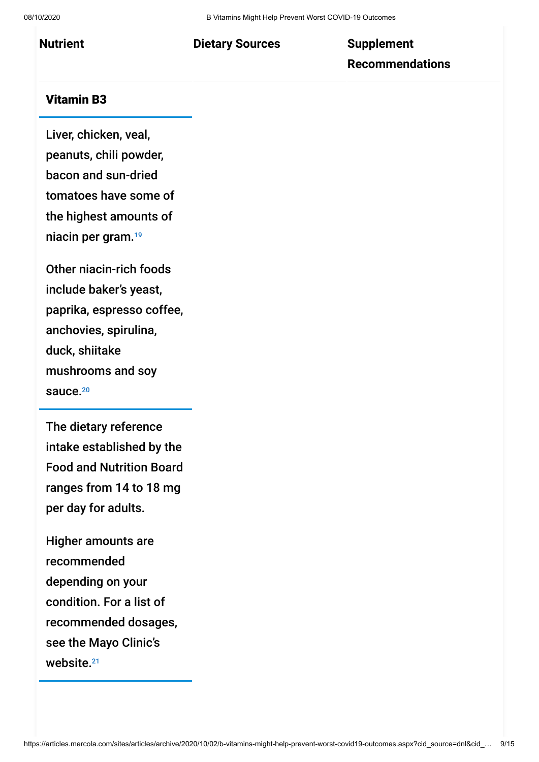# **Recommendations**

## Vitamin B3

Liver, chicken, veal, peanuts, chili powder, bacon and sun-dried tomatoes have some of the highest amounts of niacin per gram. 19

Other niacin-rich foods include baker's yeast, paprika, espresso coffee, anchovies, spirulina, duck, shiitake mushrooms and soy sauce.<sup>20</sup>

The dietary reference intake established by the Food and Nutrition Board ranges from 14 to 18 mg per day for adults.

Higher amounts are recommended depending on your condition. For a list of recommended dosages, see the Mayo Clinic's website. 21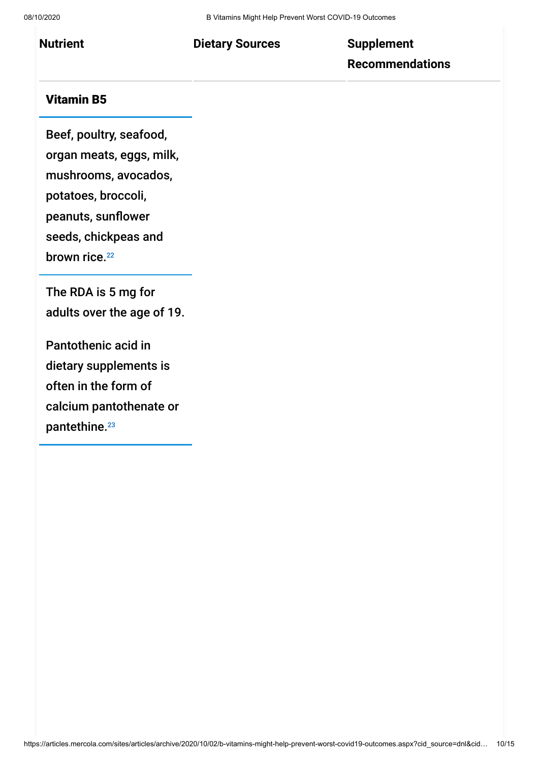# **Recommendations**

## Vitamin B5

Beef, poultry, seafood,

organ meats, eggs, milk,

mushrooms, avocados,

potatoes, broccoli,

peanuts, sunflower

seeds, chickpeas and

brown rice.<sup>22</sup>

The RDA is 5 mg for adults over the age of 19.

Pantothenic acid in dietary supplements is often in the form of calcium pantothenate or pantethine. 23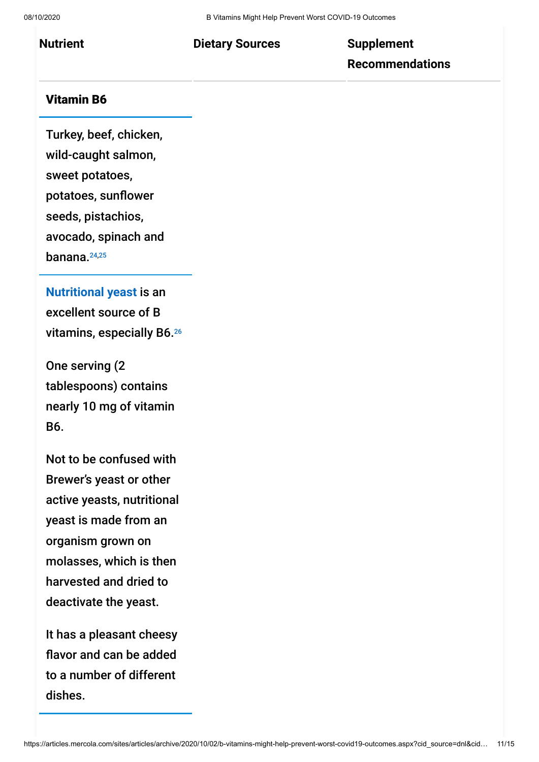# **Recommendations**

## Vitamin B6

Turkey, beef, chicken, wild-caught salmon, sweet potatoes, potatoes, sunflower seeds, pistachios, avocado, spinach and banana. 24,25

**[Nutritional yeast](https://articles.mercola.com/sites/articles/archive/2016/04/04/nutritional-yeast.aspx)** is an excellent source of B vitamins, especially B6. 26

One serving (2 tablespoons) contains nearly 10 mg of vitamin B6.

Not to be confused with Brewer's yeast or other active yeasts, nutritional yeast is made from an organism grown on molasses, which is then harvested and dried to deactivate the yeast.

It has a pleasant cheesy flavor and can be added to a number of different dishes.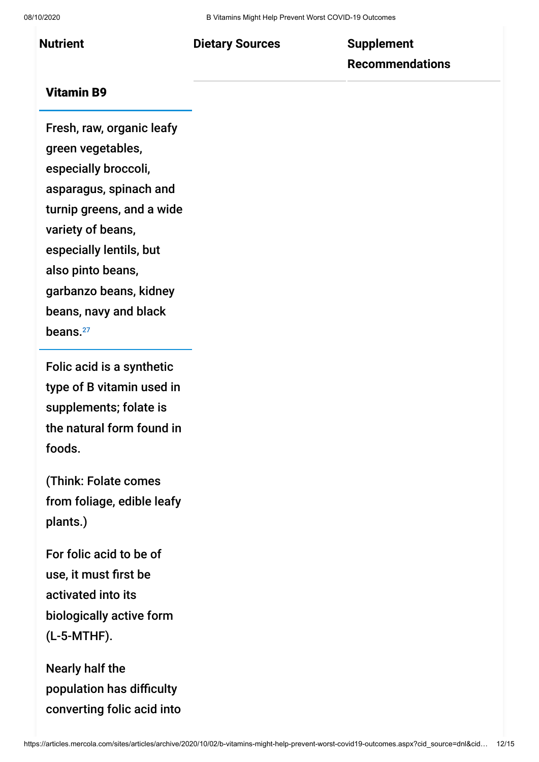# **Recommendations**

## Vitamin B9

Fresh, raw, organic leafy green vegetables, especially broccoli, asparagus, spinach and turnip greens, and a wide variety of beans, especially lentils, but also pinto beans, garbanzo beans, kidney beans, navy and black beans. 27

Folic acid is a synthetic type of B vitamin used in supplements; folate is the natural form found in foods.

(Think: Folate comes from foliage, edible leafy plants.)

For folic acid to be of use, it must first be activated into its biologically active form (L-5-MTHF).

Nearly half the population has difficulty converting folic acid into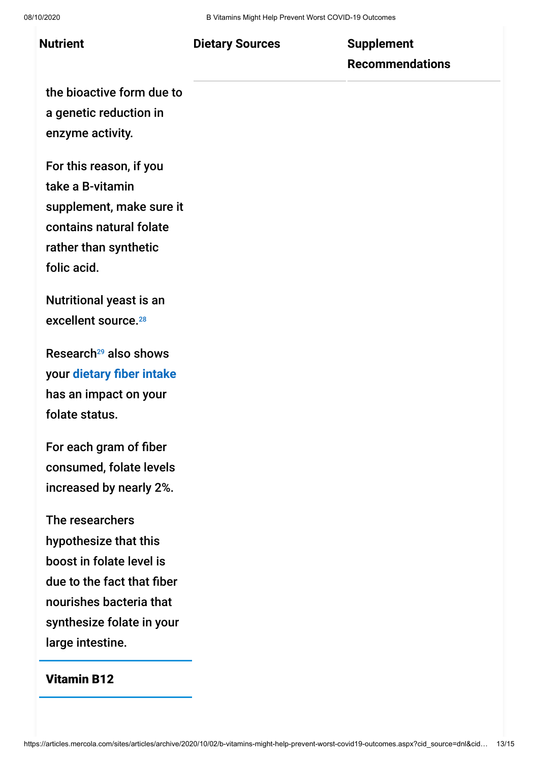## **Recommendations**

the bioactive form due to a genetic reduction in enzyme activity.

For this reason, if you take a B-vitamin supplement, make sure it contains natural folate rather than synthetic folic acid.

Nutritional yeast is an excellent source. 28

Research<sup>29</sup> also shows your dietary fiber intake has an impact on your folate status.

For each gram of fiber consumed, folate levels increased by nearly 2%.

The researchers hypothesize that this boost in folate level is due to the fact that fiber nourishes bacteria that synthesize folate in your large intestine.

## Vitamin B12